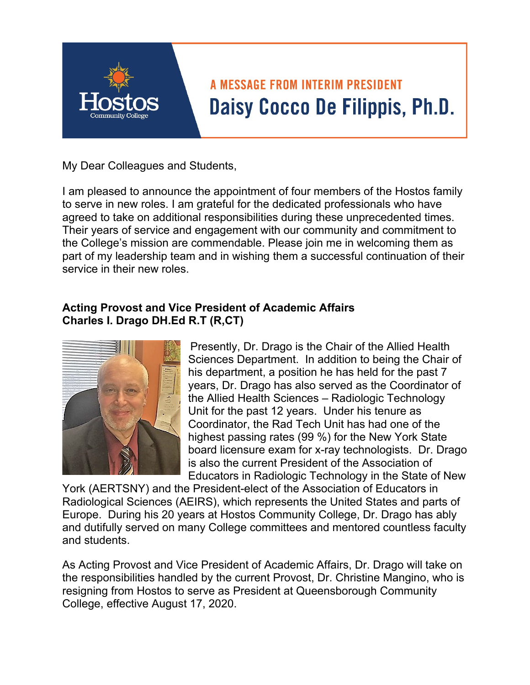

# **A MESSAGE FROM INTERIM PRESIDENT** Daisy Cocco De Filippis, Ph.D.

My Dear Colleagues and Students,

I am pleased to announce the appointment of four members of the Hostos family to serve in new roles. I am grateful for the dedicated professionals who have agreed to take on additional responsibilities during these unprecedented times. Their years of service and engagement with our community and commitment to the College's mission are commendable. Please join me in welcoming them as part of my leadership team and in wishing them a successful continuation of their service in their new roles.

# **Acting Provost and Vice President of Academic Affairs Charles I. Drago DH.Ed R.T (R,CT)**



Presently, Dr. Drago is the Chair of the Allied Health Sciences Department. In addition to being the Chair of his department, a position he has held for the past 7 years, Dr. Drago has also served as the Coordinator of the Allied Health Sciences – Radiologic Technology Unit for the past 12 years. Under his tenure as Coordinator, the Rad Tech Unit has had one of the highest passing rates (99 %) for the New York State board licensure exam for x-ray technologists. Dr. Drago is also the current President of the Association of Educators in Radiologic Technology in the State of New

York (AERTSNY) and the President-elect of the Association of Educators in Radiological Sciences (AEIRS), which represents the United States and parts of Europe. During his 20 years at Hostos Community College, Dr. Drago has ably and dutifully served on many College committees and mentored countless faculty and students.

As Acting Provost and Vice President of Academic Affairs, Dr. Drago will take on the responsibilities handled by the current Provost, Dr. Christine Mangino, who is resigning from Hostos to serve as President at Queensborough Community College, effective August 17, 2020.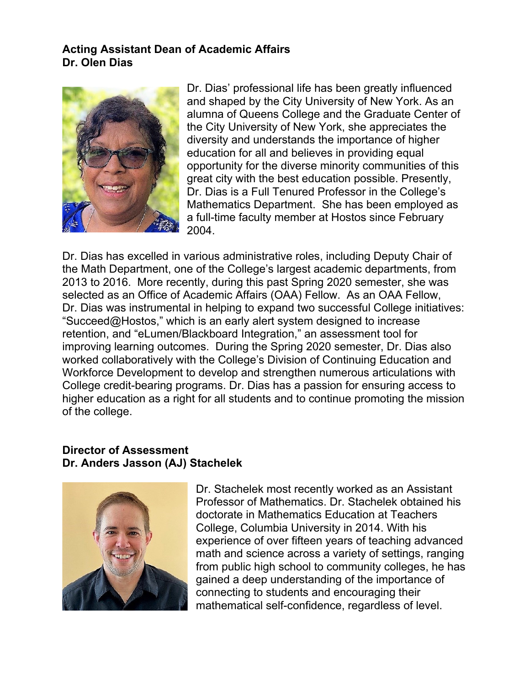### **Acting Assistant Dean of Academic Affairs Dr. Olen Dias**



Dr. Dias' professional life has been greatly influenced and shaped by the City University of New York. As an alumna of Queens College and the Graduate Center of the City University of New York, she appreciates the diversity and understands the importance of higher education for all and believes in providing equal opportunity for the diverse minority communities of this great city with the best education possible. Presently, Dr. Dias is a Full Tenured Professor in the College's Mathematics Department. She has been employed as a full-time faculty member at Hostos since February 2004.

Dr. Dias has excelled in various administrative roles, including Deputy Chair of the Math Department, one of the College's largest academic departments, from 2013 to 2016. More recently, during this past Spring 2020 semester, she was selected as an Office of Academic Affairs (OAA) Fellow. As an OAA Fellow, Dr. Dias was instrumental in helping to expand two successful College initiatives: "Succeed@Hostos," which is an early alert system designed to increase retention, and "eLumen/Blackboard Integration," an assessment tool for improving learning outcomes. During the Spring 2020 semester, Dr. Dias also worked collaboratively with the College's Division of Continuing Education and Workforce Development to develop and strengthen numerous articulations with College credit-bearing programs. Dr. Dias has a passion for ensuring access to higher education as a right for all students and to continue promoting the mission of the college.

#### **Director of Assessment Dr. Anders Jasson (AJ) Stachelek**



Dr. Stachelek most recently worked as an Assistant Professor of Mathematics. Dr. Stachelek obtained his doctorate in Mathematics Education at Teachers College, Columbia University in 2014. With his experience of over fifteen years of teaching advanced math and science across a variety of settings, ranging from public high school to community colleges, he has gained a deep understanding of the importance of connecting to students and encouraging their mathematical self-confidence, regardless of level.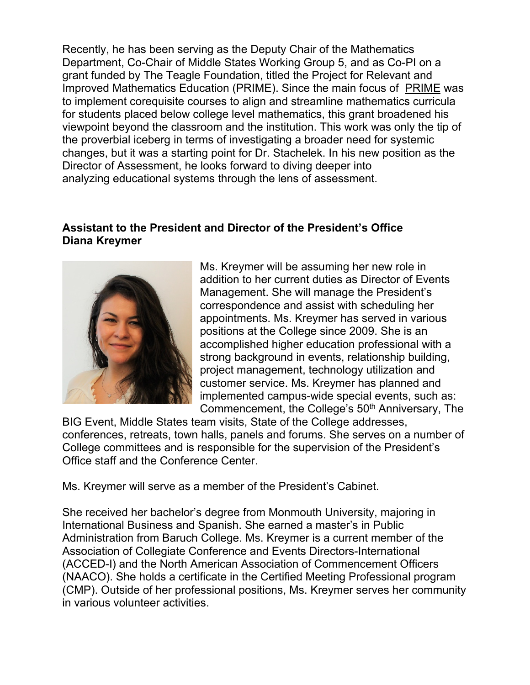Recently, he has been serving as the Deputy Chair of the Mathematics Department, Co-Chair of Middle States Working Group 5, and as Co-PI on a grant funded by The Teagle Foundation, titled the Project for Relevant and Improved Mathematics Education (PRIME). Since the main focus of PRIME was to implement corequisite courses to align and streamline mathematics curricula for students placed below college level mathematics, this grant broadened his viewpoint beyond the classroom and the institution. This work was only the tip of the proverbial iceberg in terms of investigating a broader need for systemic changes, but it was a starting point for Dr. Stachelek. In his new position as the Director of Assessment, he looks forward to diving deeper into analyzing educational systems through the lens of assessment.

# **Assistant to the President and Director of the President's Office Diana Kreymer**



Ms. Kreymer will be assuming her new role in addition to her current duties as Director of Events Management. She will manage the President's correspondence and assist with scheduling her appointments. Ms. Kreymer has served in various positions at the College since 2009. She is an accomplished higher education professional with a strong background in events, relationship building, project management, technology utilization and customer service. Ms. Kreymer has planned and implemented campus-wide special events, such as: Commencement, the College's 50<sup>th</sup> Anniversary, The

BIG Event, Middle States team visits, State of the College addresses, conferences, retreats, town halls, panels and forums. She serves on a number of College committees and is responsible for the supervision of the President's Office staff and the Conference Center.

Ms. Kreymer will serve as a member of the President's Cabinet.

She received her bachelor's degree from Monmouth University, majoring in International Business and Spanish. She earned a master's in Public Administration from Baruch College. Ms. Kreymer is a current member of the Association of Collegiate Conference and Events Directors-International (ACCED-I) and the North American Association of Commencement Officers (NAACO). She holds a certificate in the Certified Meeting Professional program (CMP). Outside of her professional positions, Ms. Kreymer serves her community in various volunteer activities.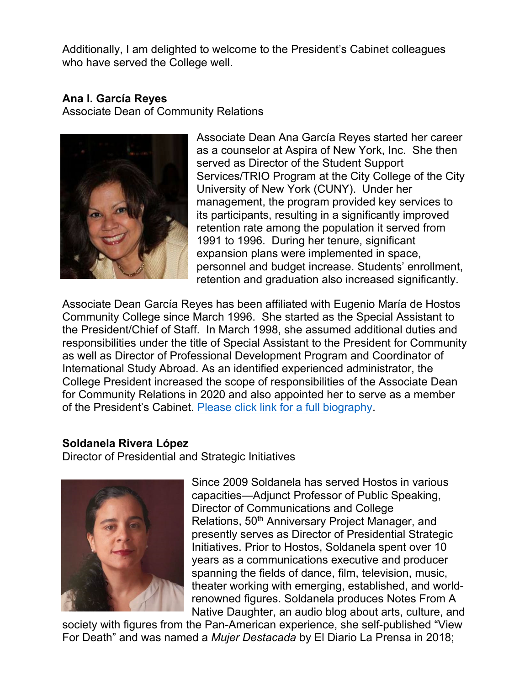Additionally, I am delighted to welcome to the President's Cabinet colleagues who have served the College well.

# **Ana I. García Reyes**

Associate Dean of Community Relations



Associate Dean Ana García Reyes started her career as a counselor at Aspira of New York, Inc. She then served as Director of the Student Support Services/TRIO Program at the City College of the City University of New York (CUNY). Under her management, the program provided key services to its participants, resulting in a significantly improved retention rate among the population it served from 1991 to 1996. During her tenure, significant expansion plans were implemented in space, personnel and budget increase. Students' enrollment, retention and graduation also increased significantly.

Associate Dean García Reyes has been affiliated with Eugenio María de Hostos Community College since March 1996. She started as the Special Assistant to the President/Chief of Staff. In March 1998, she assumed additional duties and responsibilities under the title of Special Assistant to the President for Community as well as Director of Professional Development Program and Coordinator of International Study Abroad. As an identified experienced administrator, the College President increased the scope of responsibilities of the Associate Dean for Community Relations in 2020 and also appointed her to serve as a member of the President's Cabinet. Please click link for a full biography.

#### **Soldanela Rivera López**

Director of Presidential and Strategic Initiatives



Since 2009 Soldanela has served Hostos in various capacities—Adjunct Professor of Public Speaking, Director of Communications and College Relations, 50<sup>th</sup> Anniversary Project Manager, and presently serves as Director of Presidential Strategic Initiatives. Prior to Hostos, Soldanela spent over 10 years as a communications executive and producer spanning the fields of dance, film, television, music, theater working with emerging, established, and worldrenowned figures. Soldanela produces Notes From A Native Daughter, an audio blog about arts, culture, and

society with figures from the Pan-American experience, she self-published "View For Death" and was named a *Mujer Destacada* by El Diario La Prensa in 2018;